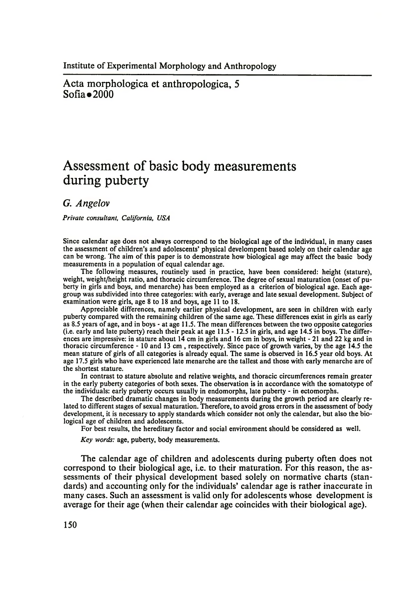Acta morphologica et anthropologica, 5  $Sofia \bullet 2000$ 

# **Assessment of basic body measurements during puberty**

*G. Angelov*

*Private consultant, California, USA*

Since calendar age does not always correspond to the biological age of the individual, in many cases the assessment of children's and adolescents' physical develompent based solely on their calendar age can be wrong. The aim of this paper is to demonstrate how biological age may affect the basic body measurements in a population of equal calendar age.

The following measures, routinely used in practice, have been considered: height (stature), weight, weight/height ratio, and thoracic circumference. The degree of sexual maturation (onset of puberty in girls and boys, and menarche) has been employed as a criterion of biological age. Each agegroup was subdivided into three categories: with early, average and late sexual development. Subject of examination were girls, age 8 to 18 and boys, age 11 to 18.

Appreciable differences, namely earlier physical development, are seen in children with early puberty compared with the remaining children of the same age. These differences exist in girls as early as 8.5 years of age, and in boys - at age 11.5. The mean differences between the two opposite categories (i.e. early and late puberty) reach their peak at age 11.5 - 12.5 in girls, and age 14.5 in boys. The differences are impressive: in stature about 14 cm in girls and 16 cm in boys, in weight - 21 and 22 kg and in thoracic circumference - 10 and 13 cm , respectively. Since pace of growth varies, by the age 14.5 the mean stature of girls of all categories is already equal. The same is observed in 16.5 year old boys. At age 17.5 girls who have experienced late menarche are the tallest and those with early menarche are of the shortest stature.

In contrast to stature absolute and relative weights, and thoracic circumferences remain greater in the early puberty categories of both sexes. The observation is in accordance with the somatotype of the individuals: early puberty occurs usually in endomorphs, late puberty - in ectomorphs.

The described dramatic changes in body measurements during the growth period are clearly related to different stages of sexual maturation. Therefore, to avoid gross errors in the assessment of body development, it is necessary to apply standards which consider not only the calendar, but also the biological age of children and adolescents.

For best results, the hereditary factor and social environment should be considered as well.

*Key words:* age, puberty, body measurements.

The calendar age of children and adolescents during puberty often does not correspond to their biological age, i.e. to their maturation. For this reason, the assessments of their physical development based solely on normative charts (standards) and accounting only for the individuals' calendar age is rather inaccurate in many cases. Such an assessment is valid only for adolescents whose development is average for their age (when their calendar age coincides with their biological age).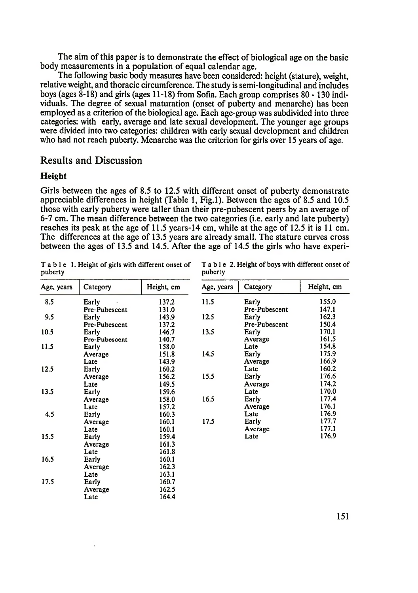The aim of this paper is to demonstrate the effect of biological age on the basic body measurements in a population of equal calendar age.

The following basic body measures have been considered: height (stature), weight, relative weight, and thoracic circumference. The study is semi-longitudinal and includes boys (ages 8-18) and girls (ages 11-18) from Sofia. Each group comprises 80- 130 individuals. The degree of sexual maturation (onset of puberty and menarche) has been employed as a criterion of the biological age. Each age-group was subdivided into three categories: with early, average and late sexual development. The younger age groups were divided into two categories: children with early sexual development and children who had not reach puberty. Menarche was the criterion for girls over 15 years of age.

# Results and Discussion

#### **Height**

Girls between the ages of 8.5 to 12.5 with different onset of puberty demonstrate appreciable differences in height (Table 1, Fig.l). Between the ages of 8.5 and 10.5 those with early puberty were taller than their pre-pubescent peers by an average of 6-7 cm. The mean difference between the two categories (i.e. early and late puberty) reaches its peak at the age of 11.5 years-14 cm, while at the age of 12.5 it is 11 cm. The differences at the age of 13.5 years are already small. The stature curves cross between the ages of 13.5 and 14.5. After the age of 14.5 the girls who have experi-

puberty puberty

Table 1. Height of girls with different onset of Table 2. Height of boys with different onset of

| Age, years | Category      | Height, cm | Age, years | Category      | Height, cm |
|------------|---------------|------------|------------|---------------|------------|
| 8.5        | Early         | 137.2      | 11.5       | Early         | 155.0      |
|            | Pre-Pubescent | 131.0      |            | Pre-Pubescent | 147.1      |
| 9.5        | Early         | 143.9      | 12.5       | Early         | 162.3      |
|            | Pre-Pubescent | 137.2      |            | Pre-Pubescent | 150.4      |
| 10.5       | Early         | 146.7      | 13.5       | Early         | 170.1      |
|            | Pre-Pubescent | 140.7      |            | Average       | 161.5      |
| 11.5       | Early         | 158.0      |            | Late          | 154.8      |
|            | Average       | 151.8      | 14.5       | Early         | 175.9      |
|            | Late          | 143.9      |            | Average       | 166.9      |
| 12.5       | Early         | 160.2      |            | Late          | 160.2      |
|            | Average       | 156.2      | 15.5       | Early         | 176.6      |
|            | Late          | 149.5      |            | Average       | 174.2      |
| 13.5       | Early         | 159.6      |            | Late          | 170.0      |
|            | Average       | 158.0      | 16.5       | Early         | 177.4      |
|            | Late          | 157.2      |            | Average       | 176.1      |
| 4.5        | Early         | 160.3      |            | Late          | 176.9      |
|            | Average       | 160.1      | 17.5       | Early         | 177.7      |
|            | Late          | 160.1      |            | Average       | 177.1      |
| 15.5       | Early         | 159.4      |            | Late          | 176.9      |
|            | Average       | 161.3      |            |               |            |
|            | Late          | 161.8      |            |               |            |
| 16.5       | Early         | 160.1      |            |               |            |
|            | Average       | 162.3      |            |               |            |
|            | Late          | 163.1      |            |               |            |
| 17.5       | Early         | 160.7      |            |               |            |
|            | Average       | 162.5      |            |               |            |
|            | Late          | 164.4      |            |               |            |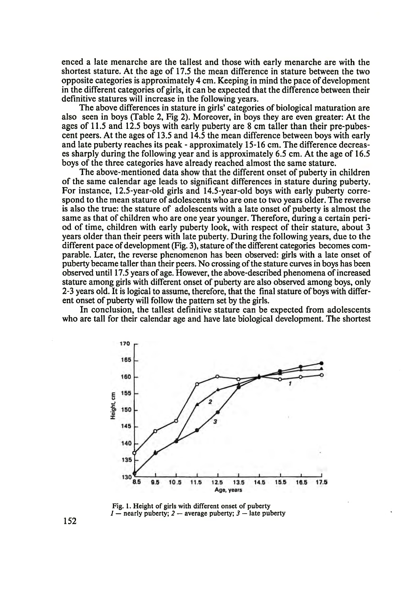enced a late menarche are the tallest and those with early menarche are with the shortest stature. At the age of 17.5 the mean difference in stature between the two opposite categories is approximately 4 cm. Keeping in mind the pace of development in the different categories of girls, it can be expected that the difference between their definitive statures will increase in the following years.

The above differences in stature in girls' categories of biological maturation are also seen in boys (Table 2, Fig 2). Moreover, in boys they are even greater: At the ages of 11.5 and 12.5 boys with early puberty are 8 cm taller than their pre-pubescent peers. At the ages of 13.5 and 14.5 the mean difference between boys with early and late puberty reaches its peak - approximately 15-16 cm. The difference decreases sharply during the following year and is approximately 6.5 cm. At the age of 16.5 boys of the three categories have already reached almost the same stature.

The above-mentioned data show that the different onset of puberty in children of the same calendar age leads to significant differences in stature during puberty. For instance, 12.5-year-old girls and 14.5-year-old boys with early puberty correspond to the mean stature of adolescents who are one to two years older. The reverse is also the true: the stature of adolescents with a late onset of puberty is almost the same as that of children who are one year younger. Therefore, during a certain period of time, children with early puberty look, with respect of their stature, about 3 years older than their peers with late puberty. During the following years, due to the different pace of development (Fig. 3), stature of the different categories becomes comparable. Later, the reverse phenomenon has been observed: girls with a late onset of puberty became taller than their peers. No crossing of the stature curves in boys has been observed until 17.5 years of age. However, the above-described phenomena of increased stature among girls with different onset of puberty are also observed among boys, only 2-3 years old. It is logical to assume, therefore, that the final stature of boys with different onset of puberty will follow the pattern set by the girls.

In conclusion, the tallest definitive stature can be expected from adolescents who are tall for their calendar age and have late biological development. The shortest



Fig. 1. Height of girls with different onset of puberty *1* — nearly puberty; *2 —* average puberty; *3* — late puberty

152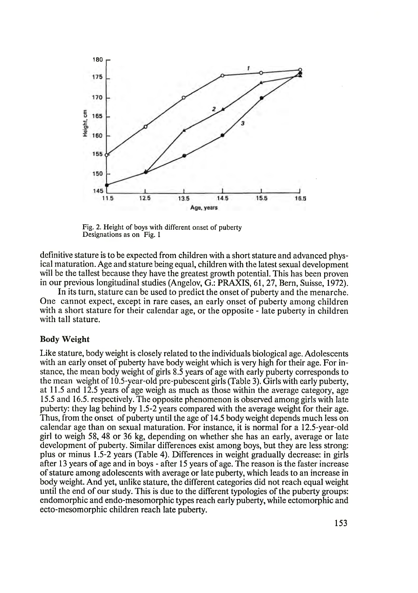

Fig. 2. Height of boys with different onset of puberty Designations as on Fig. 1

definitive stature is to be expected from children with a short stature and advanced physical maturation. Age and stature being equal, children with the latest sexual development will be the tallest because they have the greatest growth potential. This has been proven in our previous longitudinal studies (Angelov, G.: PRAXIS, 61, 27, Bern, Suisse, 1972).

In its turn, stature can be used to predict the onset of puberty and the menarche. One cannot expect, except in rare cases, an early onset of puberty among children with a short stature for their calendar age, or the opposite - late puberty in children with tall stature.

#### Body Weight

Like stature, body weight is closely related to the individuals biological age. Adolescents with an early onset of puberty have body weight which is very high for their age. For instance, the mean body weight of girls 8.5 years of age with early puberty corresponds to the mean weight of 10.5-year-old pre-pubescent girls (Table 3). Girls with early puberty, at 11.5 and 12.5 years of age weigh as much as those within the average category, age 15.5 and 16.5. respectively. The opposite phenomenon is observed among girls with late puberty: they lag behind by 1.5-2 years compared with the average weight for their age. Thus, from the onset of puberty until the age of 14.5 body weight depends much less on calendar age than on sexual maturation. For instance, it is normal for a 12.5-year-old girl to weigh 58, 48 or 36 kg, depending on whether she has an early, average or late development of puberty. Similar differences exist among boys, but they are less strong: plus or minus 1.5-2 years (Table 4). Differences in weight gradually decrease: in girls after 13 years of age and in boys - after 15 years of age. The reason is the faster increase of stature among adolescents with average or late puberty, which leads to an increase in body weight. And yet, unlike stature, the different categories did not reach equal weight until the end of our study. This is due to the different typologies of the puberty groups: endomorphic and endo-mesomorphic types reach early puberty, while ectomorphic and ecto-mesomorphic children reach late puberty.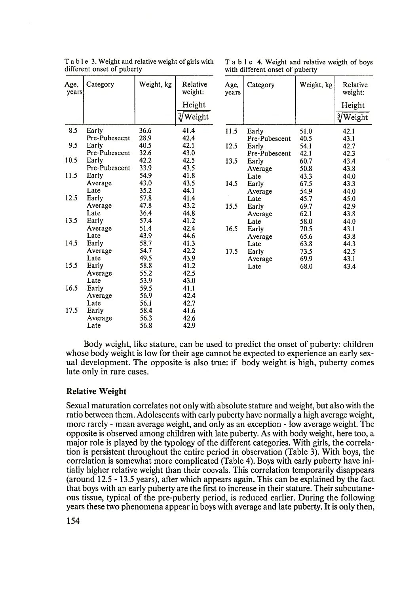| Age,<br>years | Category      | Weight, kg | Relative<br>weight:                 | Age,<br>years | Category      | Weight, kg | Rela<br>weig                 |
|---------------|---------------|------------|-------------------------------------|---------------|---------------|------------|------------------------------|
|               |               |            | Height<br>$\sqrt[3]{\text{Weight}}$ |               |               |            | Hei<br>$\sqrt[3]{\text{We}}$ |
| 8.5           | Early         | 36.6       | 41.4                                | 11.5          | Early         | 51.0       | 42.1                         |
|               | Pre-Pubesecnt | 28.9       | 42.4                                |               | Pre-Pubescent | 40.5       | 43.1                         |
| 9.5           | Early         | 40.5       | 42.1                                | 12.5          | Early         | 54.1       | 42.7                         |
|               | Pre-Pubescent | 32.6       | 43.0                                |               | Pre-Pubescent | 42.1       | 42.3                         |
| 10.5          | Early         | 42.2       | 42.5                                | 13.5          | Early         | 60.7       | 43.4                         |
|               | Pre-Pubescent | 33.9       | 43.5                                |               | Average       | 50.8       | 43.8                         |
| 11.5          | Early         | 54.9       | 41.8                                |               | Late          | 43.3       | 44.0                         |
|               | Average       | 43.0       | 43.5                                | 14.5          | Early         | 67.5       | 43.3                         |
|               | Late          | 35.2       | 44.1                                |               | Average       | 54.9       | 44.0                         |
| 12.5          | Early         | 57.8       | 41.4                                |               | Late          | 45.7       | 45.0                         |
|               | Average       | 47.8       | 43.2                                | 15.5          | Early         | 69.7       | 42.9                         |
|               | Late          | 36.4       | 44.8                                |               | Average       | 62.1       | 43.8                         |
| 13.5          | Early         | 57.4       | 41.2                                |               | Late          | 58.0       | 44.0                         |
|               | Average       | 51.4       | 42.4                                | 16.5          | Early         | 70.5       | 43.1                         |
|               | Late          | 43.9       | 44.6                                |               | Average       | 65.6       | 43.8                         |
| 14.5          | Early         | 58.7       | 41.3                                |               | Late          | 63.8       | 44.3                         |
|               | Average       | 54.7       | 42.2                                | 17.5          | Early         | 73.5       | 42.5                         |
|               | Late          | 49.5       | 43.9                                |               | Average       | 69.9       | 43.1                         |
| 15.5          | Early         | 58.8       | 41.2                                |               | Late          | 68.0       | 43.4                         |
|               | Average       | 55.2       | 42.5                                |               |               |            |                              |
|               | Late          | 53.9       | 43.0                                |               |               |            |                              |
| 16.5          | Early         | 59.5       | 41.1                                |               |               |            |                              |
|               | Average       | 56.9       | 42.4                                |               |               |            |                              |
|               | Late          | 56.1       | 42.7                                |               |               |            |                              |
| 17.5          | Early         | 58.4       | 41.6                                |               |               |            |                              |
|               | Average       | 56.3       | 42.6                                |               |               |            |                              |
|               | Late          | 56.8       | 42.9                                |               |               |            |                              |

T a b l e 3. Weight and relative weight of girls with T a b l e 4. Weight and relative weigth of boys different onset of puberty with different onset of puberty

with different onset of puberty

| Category       | Weight, kg | Relative<br>weight: | Age,<br>years | Category      | Weight, kg | Relative<br>weight: |
|----------------|------------|---------------------|---------------|---------------|------------|---------------------|
|                |            | Height              |               |               |            | Height              |
|                |            | 3/Weight            |               |               |            | 3/Weight            |
| Early          | 36.6       | 41.4                | 11.5          | Early         | 51.0       | 42.1                |
| Pre-Pubesecnt  | 28.9       | 42.4                |               | Pre-Pubescent | 40.5       | 43.1                |
| Early          | 40.5       | 42.1                | 12.5          | Early         | 54.1       | 42.7                |
| Pre-Pubescent  | 32.6       | 43.0                |               | Pre-Pubescent | 42.1       | 42.3                |
| Early          | 42.2       | 42.5                | 13.5          | Early         | 60.7       | 43.4                |
| Pre-Pubescent  | 33.9       | 43.5                |               | Average       | 50.8       | 43.8                |
| Early          | 54.9       | 41.8                |               | Late          | 43.3       | 44.0                |
| Average        | 43.0       | 43.5                | 14.5          | Early         | 67.5       | 43.3                |
| Late           | 35.2       | 44.1                |               | Average       | 54.9       | 44.0                |
| Early          | 57.8       | 41.4                |               | Late          | 45.7       | 45.0                |
| Average        | 47.8       | 43.2                | 15.5          | Early         | 69.7       | 42.9                |
| Late           | 36.4       | 44.8                |               | Average       | 62.1       | 43.8                |
| Early          | 57.4       | 41.2                |               | Late          | 58.0       | 44.0                |
| Average        | 51.4       | 42.4                | 16.5          | Early         | 70.5       | 43.1                |
| Late           | 43.9       | 44.6                |               | Average       | 65.6       | 43.8                |
| Early          | 58.7       | 41.3                |               | Late          | 63.8       | 44.3                |
| Average        | 54.7       | 42.2                | 17.5          | Early         | 73.5       | 42.5                |
| Late           | 49.5       | 43.9                |               | Average       | 69.9       | 43.1                |
| Early          | 58.8       | 41.2                |               | Late          | 68.0       | 43.4                |
| <b>Average</b> | 55.2       | 42.5                |               |               |            |                     |

Body weight, like stature, can be used to predict the onset of puberty: children whose body weight is low for their age cannot be expected to experience an early sexual development. The opposite is also true: if body weight is high, puberty comes late only in rare cases.

## Relative Weight

Sexual maturation correlates not only with absolute stature and weight, but also with the ratio between them. Adolescents with early puberty have normally a high average weight, more rarely - mean average weight, and only as an exception - low average weight. The opposite is observed among children with late puberty. As with body weight, here too, a major role is played by the typology of the different categories. With girls, the correlation is persistent throughout the entire period in observation (Table 3). With boys, the correlation is somewhat more complicated (Table 4). Boys with early puberty have initially higher relative weight than their coevals. This correlation temporarily disappears (around 12.5-13.5 years), after which appears again. This can be explained by the fact that boys with an early puberty are the first to increase in their stature. Their subcutaneous tissue, typical of the pre-puberty period, is reduced earlier. During the following years these two phenomena appear in boys with average and late puberty. It is only then,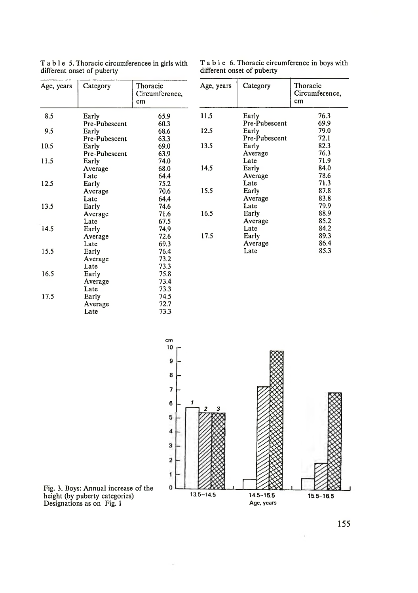| Age, years | Category      | Thoracic<br>Circumference,<br>cm | Age, years | Category      | Thoracic<br>Circumferer<br>cm |
|------------|---------------|----------------------------------|------------|---------------|-------------------------------|
| 8.5        | Early         | 65.9                             | 11.5       | Early         | 76.3                          |
|            | Pre-Pubescent | 60.3                             |            | Pre-Pubescent | 69.9                          |
| 9.5        | Early         | 68.6                             | 12.5       | Early         | 79.0                          |
|            | Pre-Pubescent | 63.3                             |            | Pre-Pubescent | 72.1                          |
| 10.5       | Early         | 69.0                             | 13.5       | Early         | 82.3                          |
|            | Pre-Pubescent | 63.9                             |            | Average       | 76.3                          |
| 11.5       | Early         | 74.0                             |            | Late          | 71.9                          |
|            | Average       | 68.0                             | 14.5       | Early         | 84.0                          |
|            | Late          | 64.4                             |            | Average       | 78.6                          |
| 12.5       | Early         | 75.2                             |            | Late          | 71.3                          |
|            | Average       | 70.6                             | 15.5       | Early         | 87.8                          |
|            | Late          | 64.4                             |            | Average       | 83.8                          |
| 13.5       | Early         | 74.6                             |            | Late          | 79.9                          |
|            | Average       | 71.6                             | 16.5       | Early         | 88.9                          |
|            | Late          | 67.5                             |            | Average       | 85.2                          |
| 14.5       | Early         | 74.9                             |            | Late          | 84.2                          |
|            | Average       | 72.6                             | 17.5       | Early         | 89.3                          |
|            | Late          | 69.3                             |            | Average       | 86.4                          |
| 15.5       | Early         | 76.4                             |            | Late          | 85.3                          |
|            | Average       | 73.2                             |            |               |                               |
|            | Late          | 73.3                             |            |               |                               |
| 16.5       | Early         | 75.8                             |            |               |                               |
|            | Average       | 73.4                             |            |               |                               |
|            | Late          | 73.3                             |            |               |                               |
| 17.5       | Early         | 74.5                             |            |               |                               |
|            | Average       | 72.7                             |            |               |                               |
|            | Late          | 73.3                             |            |               |                               |

T a b l e 5. Thoracic circumferencee in girls with different onset of puberty

T a b  $l$  e 6. Thoracic circumference in boys with different onset of puberty

| Category      | Thoracic<br>Circumference,<br>cm | Age, years | Category      | Thoracic<br>Circumference,<br>cm |
|---------------|----------------------------------|------------|---------------|----------------------------------|
| Early         | 65.9                             | 11.5       | Early         | 76.3                             |
| Pre-Pubescent | 60.3                             |            | Pre-Pubescent | 69.9                             |
| Early         | 68.6                             | 12.5       | Early         | 79.0                             |
| Pre-Pubescent | 63.3                             |            | Pre-Pubescent | 72.1                             |
| Early         | 69.0                             | 13.5       | Early         | 82.3                             |
| Pre-Pubescent | 63.9                             |            | Average       | 76.3                             |
| Early         | 74.0                             |            | Late          | 71.9                             |
| Average       | 68.0                             | 14.5       | Early         | 84.0                             |
| Late          | 64.4                             |            | Average       | 78.6                             |
| Early         | 75.2                             |            | Late          | 71.3                             |
| Average       | 70.6                             | 15.5       | Early         | 87.8                             |
| Late          | 64.4                             |            | Average       | 83.8                             |
| Early         | 74.6                             |            | Late          | 79.9                             |
| Average       | 71.6                             | 16.5       | Early         | 88.9                             |
| Late          | 67.5                             |            | Average       | 85.2                             |
| Early         | 74.9                             |            | Late          | 84.2                             |
| Average       | 72.6                             | 17.5       | Early         | 89.3                             |
| Late          | 69.3                             |            | Average       | 86.4                             |
| Early         | 76.4                             |            | Late          | 85.3                             |
| $\mathbf{A}$  | ר הדי                            |            |               |                                  |



Fig. 3. Boys: Annual increase of the height (by puberty categories) Designations as on Fig. 1